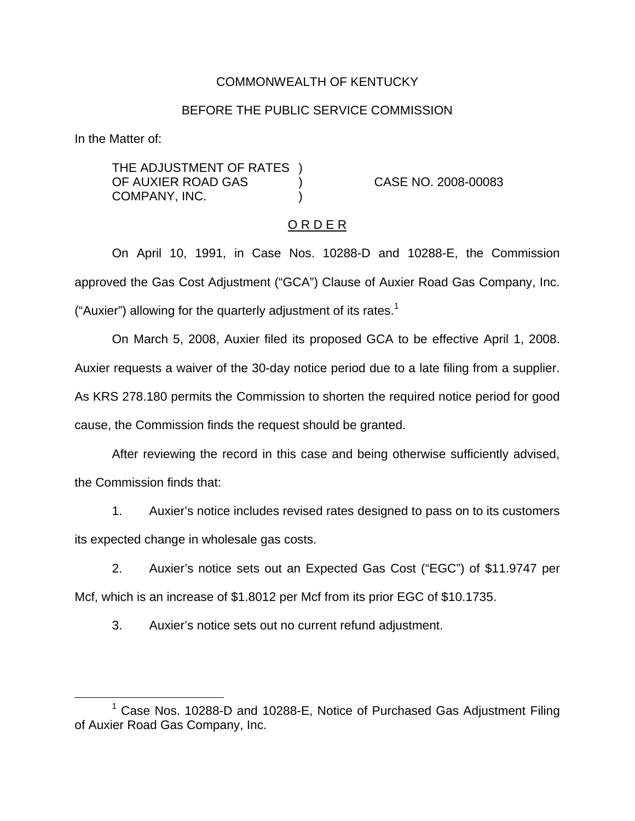## COMMONWEALTH OF KENTUCKY

## BEFORE THE PUBLIC SERVICE COMMISSION

In the Matter of:

THE ADJUSTMENT OF RATES ) OF AUXIER ROAD GAS ) CASE NO. 2008-00083 COMPANY, INC.

#### O R D E R

On April 10, 1991, in Case Nos. 10288-D and 10288-E, the Commission approved the Gas Cost Adjustment ("GCA") Clause of Auxier Road Gas Company, Inc. ("Auxier") allowing for the quarterly adjustment of its rates.<sup>1</sup>

On March 5, 2008, Auxier filed its proposed GCA to be effective April 1, 2008. Auxier requests a waiver of the 30-day notice period due to a late filing from a supplier. As KRS 278.180 permits the Commission to shorten the required notice period for good cause, the Commission finds the request should be granted.

After reviewing the record in this case and being otherwise sufficiently advised, the Commission finds that:

1. Auxier's notice includes revised rates designed to pass on to its customers its expected change in wholesale gas costs.

2. Auxier's notice sets out an Expected Gas Cost ("EGC") of \$11.9747 per Mcf, which is an increase of \$1.8012 per Mcf from its prior EGC of \$10.1735.

3. Auxier's notice sets out no current refund adjustment.

 $1$  Case Nos. 10288-D and 10288-E, Notice of Purchased Gas Adjustment Filing of Auxier Road Gas Company, Inc.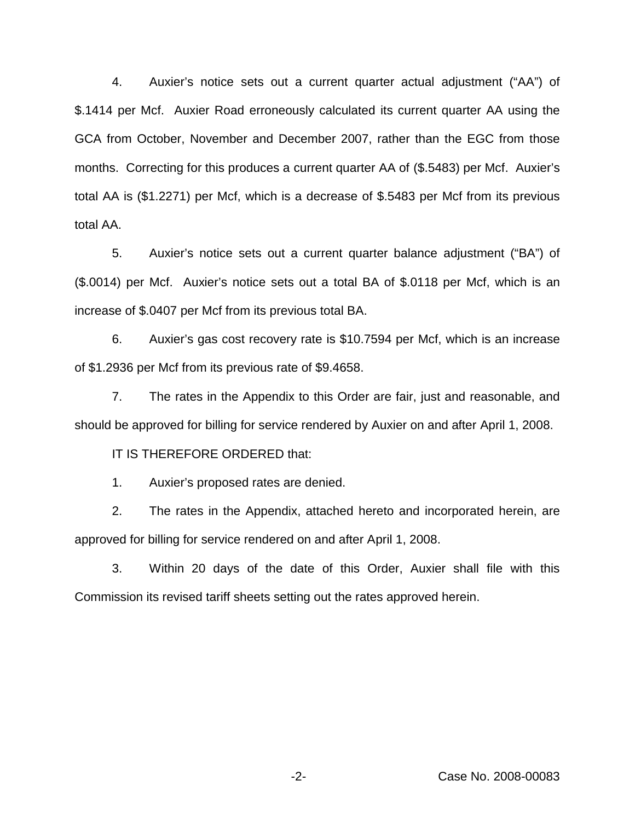4. Auxier's notice sets out a current quarter actual adjustment ("AA") of \$.1414 per Mcf. Auxier Road erroneously calculated its current quarter AA using the GCA from October, November and December 2007, rather than the EGC from those months. Correcting for this produces a current quarter AA of (\$.5483) per Mcf. Auxier's total AA is (\$1.2271) per Mcf, which is a decrease of \$.5483 per Mcf from its previous total AA.

5. Auxier's notice sets out a current quarter balance adjustment ("BA") of (\$.0014) per Mcf. Auxier's notice sets out a total BA of \$.0118 per Mcf, which is an increase of \$.0407 per Mcf from its previous total BA.

6. Auxier's gas cost recovery rate is \$10.7594 per Mcf, which is an increase of \$1.2936 per Mcf from its previous rate of \$9.4658.

7. The rates in the Appendix to this Order are fair, just and reasonable, and should be approved for billing for service rendered by Auxier on and after April 1, 2008.

IT IS THEREFORE ORDERED that:

1. Auxier's proposed rates are denied.

2. The rates in the Appendix, attached hereto and incorporated herein, are approved for billing for service rendered on and after April 1, 2008.

3. Within 20 days of the date of this Order, Auxier shall file with this Commission its revised tariff sheets setting out the rates approved herein.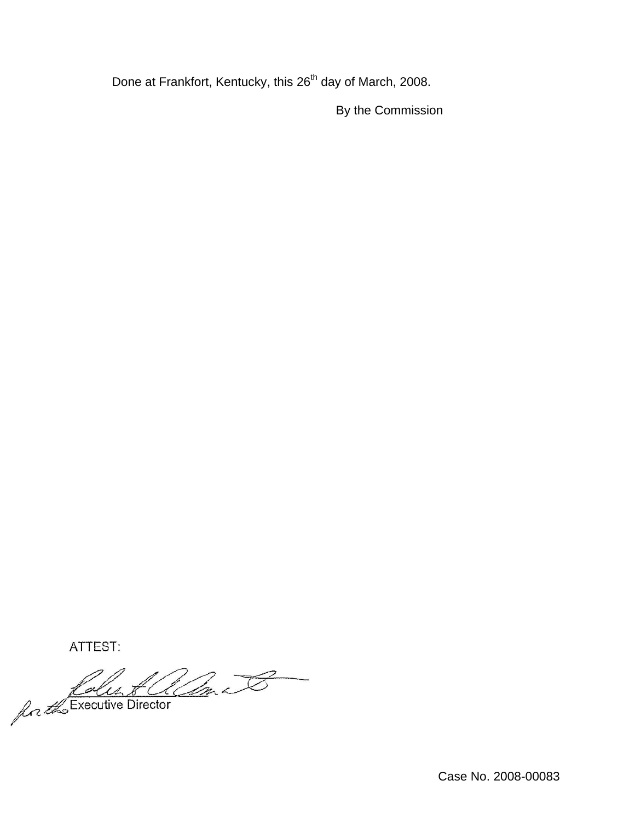Done at Frankfort, Kentucky, this 26<sup>th</sup> day of March, 2008.

By the Commission

ATTEST:

for the Executive Director